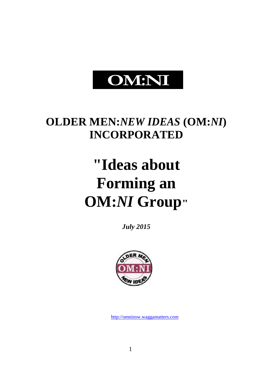# **OM:NI**

# **OLDER MEN:***NEW IDEAS* **(OM:***NI***) INCORPORATED**

# **"Ideas about Forming an OM:***NI* **Group"**

*July 2015*



[http://omninsw.waggamatters.com](http://omninsw.waggamatters.com/)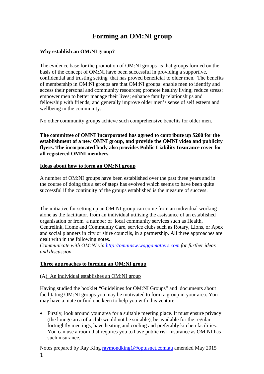# **Forming an OM:NI group**

# **Why establish an OM:NI group?**

The evidence base for the promotion of OM:NI groups is that groups formed on the basis of the concept of OM:NI have been successful in providing a supportive, confidential and trusting setting that has proved beneficial to older men. The benefits of membership in OM:NI groups are that OM:NI groups: enable men to identify and access their personal and community resources; promote healthy living; reduce stress; empower men to better manage their lives; enhance family relationships and fellowship with friends; and generally improve older men's sense of self esteem and wellbeing in the community.

No other community groups achieve such comprehensive benefits for older men.

**The committee of OMNI Incorporated has agreed to contribute up \$200 for the establishment of a new OMNI group, and provide the OMNI video and publicity flyers. The incorporated body also provides Public Liability Insurance cover for all registered OMNI members.**

### **Ideas about how to form an OM:NI group**

A number of OM:NI groups have been established over the past three years and in the course of doing this a set of steps has evolved which seems to have been quite successful if the continuity of the groups established is the measure of success.

The initiative for setting up an OM:NI group can come from an individual working alone as the facilitator, from an individual utilising the assistance of an established organisation or from a number of local community services such as Health, Centrelink, Home and Community Care, service clubs such as Rotary, Lions, or Apex and social planners in city or shire councils, in a partnership. All three approaches are dealt with in the following notes.

*Communicate with OM:NI via [http://omninsw.waggamatters.com](http://omninsw.waggamatters.com/) for further ideas and discussion.*

# **Three approaches to forming an OM:NI group**

### (A) An individual establishes an OM:NI group

Having studied the booklet "Guidelines for OM:NI Groups" and documents about facilitating OM:NI groups you may be motivated to form a group in your area. You may have a mate or find one keen to help you with this venture.

 Firstly, look around your area for a suitable meeting place. It must ensure privacy (the lounge area of a club would not be suitable), be available for the regular fortnightly meetings, have heating and cooling and preferably kitchen facilities. You can use a room that requires you to have public risk insurance as OM:NI has such insurance.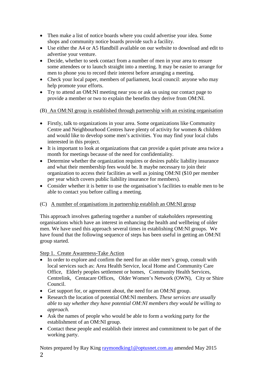- Then make a list of notice boards where you could advertise your idea. Some shops and community notice boards provide such a facility.
- Use either the A4 or A5 Handbill available on our website to download and edit to advertise your venture.
- Decide, whether to seek contact from a number of men in your area to ensure some attendees or to launch straight into a meeting. It may be easier to arrange for men to phone you to record their interest before arranging a meeting.
- Check your local paper, members of parliament, local council: anyone who may help promote your efforts.
- Try to attend an OM:NI meeting near you or ask us using our contact page to provide a member or two to explain the benefits they derive from OM:NI.

# (B) An OM:NI group is established through partnership with an existing organisation

- Firstly, talk to organizations in your area. Some organizations like Community Centre and Neighbourhood Centres have plenty of activity for women & children and would like to develop some men's activities. You may find your local clubs interested in this project.
- It is important to look at organizations that can provide a quiet private area twice a month for meetings because of the need for confidentiality.
- Determine whether the organization requires or desires public liability insurance and what their membership fees would be. It maybe necessary to join their organization to access their facilities as well as joining OM:NI (\$10 per member per year which covers public liability insurance for members).
- Consider whether it is better to use the organisation's facilities to enable men to be able to contact you before calling a meeting.

# (C) A number of organisations in partnership establish an OM:NI group

This approach involves gathering together a number of stakeholders representing organisations which have an interest in enhancing the health and wellbeing of older men. We have used this approach several times in establishing OM:NI groups. We have found that the following sequence of steps has been useful in getting an OM:NI group started.

# Step 1. Create Awareness-Take Action

- In order to explore and confirm the need for an older men's group, consult with local services such as: Area Health Service, local Home and Community Care Office, Elderly peoples settlement or homes, Community Health Services, Centrelink, Centacare Offices, Older Women's Network (OWN), City or Shire Council.
- Get support for, or agreement about, the need for an OM:NI group.
- Research the location of potential OM:NI members. *These services are usually able to say whether they have potential OM:NI members they would be willing to approach.*
- Ask the names of people who would be able to form a working party for the establishment of an OM:NI group.
- Contact these people and establish their interest and commitment to be part of the working party.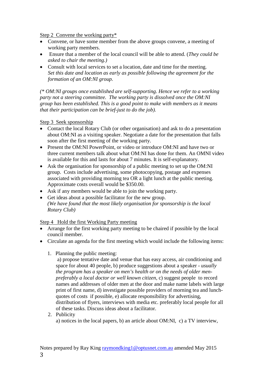Step 2 Convene the working party\*

- Convene, or have some member from the above groups convene, a meeting of working party members.
- Ensure that a member of the local council will be able to attend. (*They could be asked to chair the meeting.)*
- Consult with local services to set a location, date and time for the meeting. *Set this date and location as early as possible following the agreement for the formation of an OM:NI group.*

*(\* OM:NI groups once established are self-supporting. Hence we refer to a working party not a steering committee. The working party is dissolved once the OM:NI group has been established. This is a good point to make with members as it means that their participation can be brief-just to do the job).*

Step 3 Seek sponsorship

- Contact the local Rotary Club (or other organisation) and ask to do a presentation about OM:NI as a visiting speaker. Negotiate a date for the presentation that falls soon after the first meeting of the working party.
- Present the OM:NI PowerPoint, or video or introduce OM:NI and have two or three current members talk about what OM:NI has done for them. An OMNI video is available for this and lasts for about 7 minutes. It is self-explanatory.
- Ask the organisation for sponsorship of a public meeting to set up the OM:NI group. Costs include advertising, some photocopying, postage and expenses associated with providing morning tea OR a light lunch at the public meeting. Approximate costs overall would be \$350.00.
- Ask if any members would be able to join the working party.
- Get ideas about a possible facilitator for the new group. *(We have found that the most likely organisation for sponsorship is the local Rotary Club)*

Step 4 Hold the first Working Party meeting

- Arrange for the first working party meeting to be chaired if possible by the local council member.
- Circulate an agenda for the first meeting which would include the following items:
	- 1. Planning the public meeting:

a) propose tentative date and venue that has easy access, air conditioning and space for about 40 people, b) produce suggestions about a speaker - *usually the program has a speaker on men's health or on the needs of older menpreferably a local doctor or well known citizen*, c) suggest people to record names and addresses of older men at the door and make name labels with large print of first name, d) investigate possible providers of morning tea and lunchquotes of costs if possible, e) allocate responsibility for advertising, distribution of flyers, interviews with media etc. preferably local people for all of these tasks. Discuss ideas about a facilitator.

2. Publicity a) notices in the local papers, b) an article about OM:NI, c) a TV interview,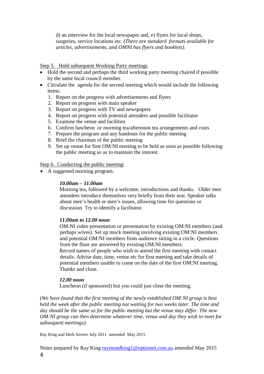d) an interview for the local newspaper and, e) flyers for local shops, surgeries, service locations etc. (*There are standard formats available for articles, advertisements, and OMNI has flyers and booklets).*

Step 5. Hold subsequent Working Party meetings

- Hold the second and perhaps the third working party meeting chaired if possible by the same local council member.
- Circulate the agenda for the second meeting which would include the following items:
	- 1. Report on the progress with advertisements and flyers
	- 2. Report on progress with main speaker
	- 3. Report on progress with TV and newspapers
	- 4. Report on progress with potential attendees and possible facilitator
	- 5. Examine the venue and facilities
	- 6. Confirm luncheon or morning tea/afternoon tea arrangements and costs
	- 7. Prepare the program and any handouts for the public meeting
	- 8. Brief the chairman of the public meeting
	- 9. Set up venue for first OM:NI meeting to be held as soon as possible following the public meeting so as to maintain the interest.

Step 6. Conducting the public meeting:

A suggested morning program.

### *10.00am – 11.00am*

Morning tea, followed by a welcome, introductions and thanks. Older men attendees introduce themselves very briefly from their seat. Speaker talks about men's health or men's issues, allowing time for questions or discussion. Try to identify a facilitator.

### *11.00am to 12.00 noon*

OM:NI video presentation or presentation by existing OM:NI members (and perhaps wives). Set up mock meeting involving existing OM:NI members and potential OM:NI members from audience sitting in a circle. Questions from the floor are answered by existing OM:NI members.

Record names of people who wish to attend the first meeting with contact details. Advise date, time, venue etc for first meeting and take details of potential members unable to come on the date of the first OM:NI meeting. Thanks and close.

## *12.00 noon*

Luncheon (if sponsored) but you could just close the meeting.

(*We have found that the first meeting of the newly established OM:NI group is best held the week after the public meeting not waiting for two weeks later. The time and day should be the same as for the public meeting but the venue may differ. The new OM:NI group can then determine whatever time, venue and day they wish to meet for subsequent meetings).*

Ray King and Herb Sowter July 2011 amended May 2015